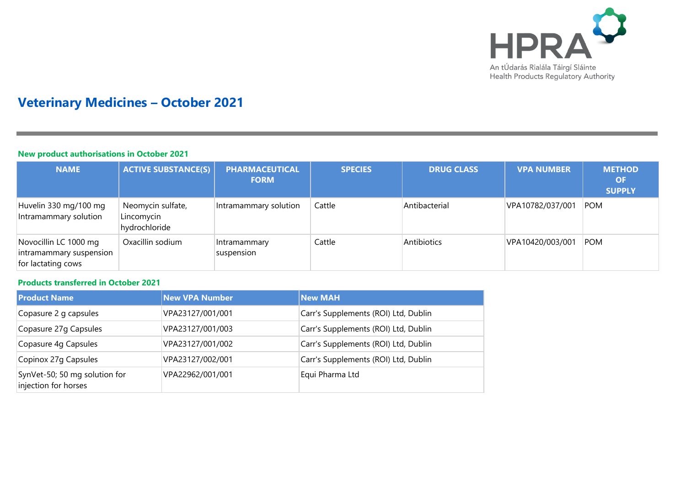

# **Veterinary Medicines – October 2021**

#### **New product authorisations in October 2021**

| <b>NAME</b>                                                            | <b>ACTIVE SUBSTANCE(S)</b>                       | <b>PHARMACEUTICAL</b><br><b>FORM</b> | <b>SPECIES</b> | <b>DRUG CLASS</b> | <b>VPA NUMBER</b> | <b>METHOD</b><br><b>OF</b><br><b>SUPPLY</b> |
|------------------------------------------------------------------------|--------------------------------------------------|--------------------------------------|----------------|-------------------|-------------------|---------------------------------------------|
| Huvelin 330 mg/100 mg<br>Intramammary solution                         | Neomycin sulfate,<br>Lincomycin<br>hydrochloride | Intramammary solution                | Cattle         | Antibacterial     | VPA10782/037/001  | POM                                         |
| Novocillin LC 1000 mg<br>intramammary suspension<br>for lactating cows | Oxacillin sodium                                 | Intramammary<br>suspension           | Cattle         | Antibiotics       | VPA10420/003/001  | <b>POM</b>                                  |

## **Products transferred in October 2021**

| <b>Product Name</b>                                   | <b>New VPA Number</b> | <b>New MAH</b>                       |
|-------------------------------------------------------|-----------------------|--------------------------------------|
| Copasure 2 g capsules                                 | VPA23127/001/001      | Carr's Supplements (ROI) Ltd, Dublin |
| Copasure 27g Capsules                                 | VPA23127/001/003      | Carr's Supplements (ROI) Ltd, Dublin |
| Copasure 4g Capsules                                  | VPA23127/001/002      | Carr's Supplements (ROI) Ltd, Dublin |
| Copinox 27g Capsules                                  | VPA23127/002/001      | Carr's Supplements (ROI) Ltd, Dublin |
| SynVet-50; 50 mg solution for<br>injection for horses | VPA22962/001/001      | Equi Pharma Ltd                      |